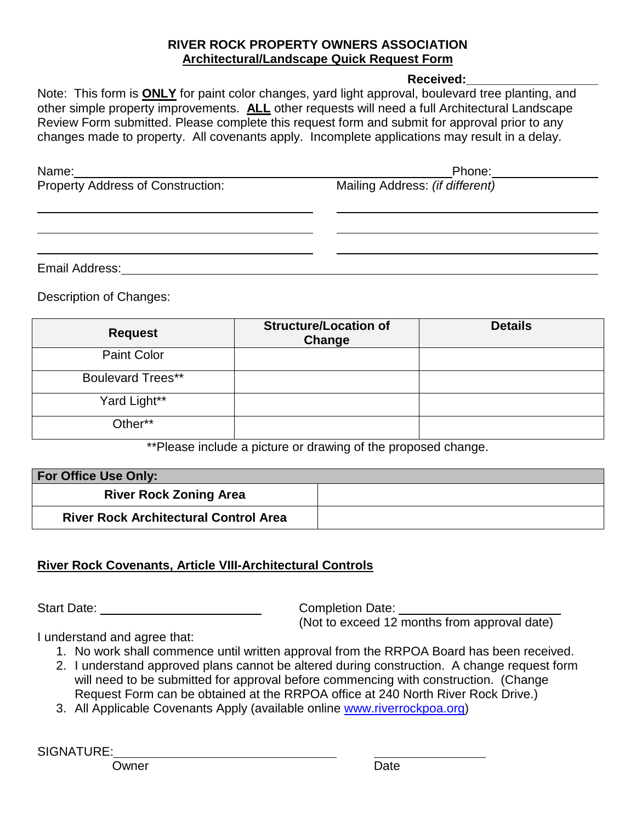## **RIVER ROCK PROPERTY OWNERS ASSOCIATION Architectural/Landscape Quick Request Form**

## **Received:\_\_\_\_\_\_\_\_\_\_\_\_\_\_\_\_\_\_\_**

Note: This form is **ONLY** for paint color changes, yard light approval, boulevard tree planting, and other simple property improvements. **ALL** other requests will need a full Architectural Landscape Review Form submitted. Please complete this request form and submit for approval prior to any changes made to property. All covenants apply. Incomplete applications may result in a delay.

| Name:                                    | Phone:                          |
|------------------------------------------|---------------------------------|
| <b>Property Address of Construction:</b> | Mailing Address: (if different) |
|                                          |                                 |
|                                          |                                 |
|                                          |                                 |
|                                          |                                 |

Email Address:

Description of Changes:

| <b>Request</b>           | <b>Structure/Location of</b><br>Change | <b>Details</b> |
|--------------------------|----------------------------------------|----------------|
| <b>Paint Color</b>       |                                        |                |
| <b>Boulevard Trees**</b> |                                        |                |
| Yard Light**             |                                        |                |
| Other**                  |                                        |                |

\*\*Please include a picture or drawing of the proposed change.

| <b>For Office Use Only:</b>                  |  |
|----------------------------------------------|--|
| <b>River Rock Zoning Area</b>                |  |
| <b>River Rock Architectural Control Area</b> |  |

## **River Rock Covenants, Article VIII-Architectural Controls**

Start Date: <u>Completion Date:</u> Completion Date:

(Not to exceed 12 months from approval date)

I understand and agree that:

- 1. No work shall commence until written approval from the RRPOA Board has been received.
- 2. I understand approved plans cannot be altered during construction. A change request form will need to be submitted for approval before commencing with construction. (Change Request Form can be obtained at the RRPOA office at 240 North River Rock Drive.)
- 3. All Applicable Covenants Apply (available online [www.riverrockpoa.org\)](http://www.riverrockpoa.org/)

SIGNATURE: